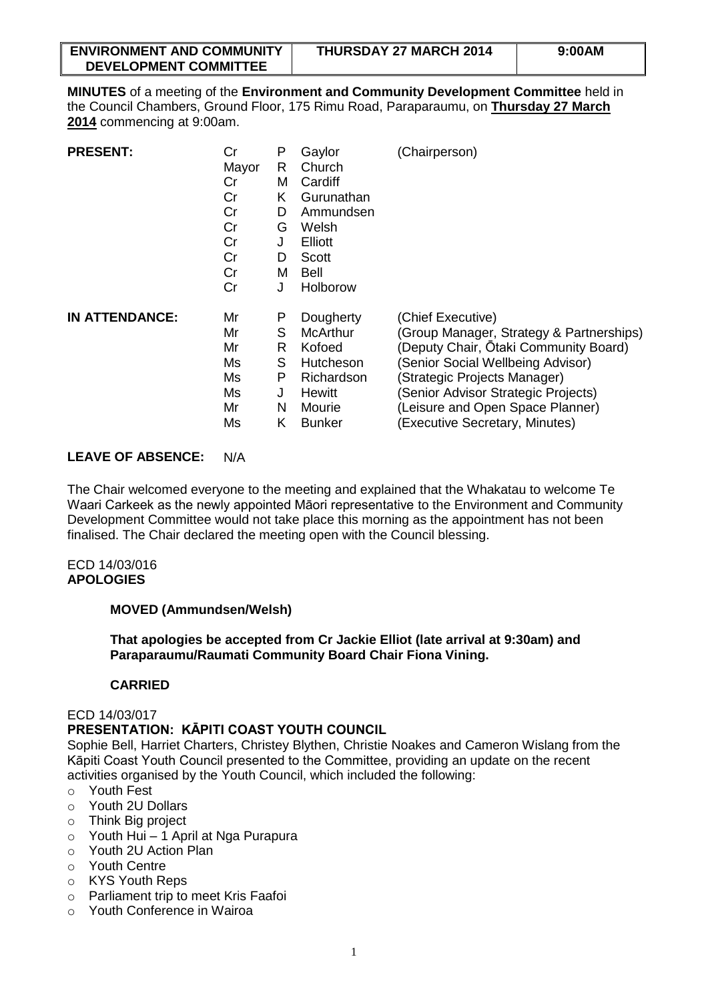| <b>ENVIRONMENT AND COMMUNITY</b> | <b>THURSDAY 27 MARCH 2014</b> | 9:00AM |
|----------------------------------|-------------------------------|--------|
| <b>DEVELOPMENT COMMITTEE</b>     |                               |        |

**MINUTES** of a meeting of the **Environment and Community Development Committee** held in the Council Chambers, Ground Floor, 175 Rimu Road, Paraparaumu, on **Thursday 27 March 2014** commencing at 9:00am.

| <b>PRESENT:</b>       | Cr    | Ρ | Gaylor        | (Chairperson)                            |  |  |  |  |  |  |  |  |
|-----------------------|-------|---|---------------|------------------------------------------|--|--|--|--|--|--|--|--|
|                       | Mayor | R | Church        |                                          |  |  |  |  |  |  |  |  |
|                       | Cr    | M | Cardiff       |                                          |  |  |  |  |  |  |  |  |
|                       | Cr    | K | Gurunathan    |                                          |  |  |  |  |  |  |  |  |
|                       | Cr    | D | Ammundsen     |                                          |  |  |  |  |  |  |  |  |
|                       | Cr    | G | Welsh         |                                          |  |  |  |  |  |  |  |  |
|                       | Cr    | J | Elliott       |                                          |  |  |  |  |  |  |  |  |
|                       | Cr    | D | Scott         |                                          |  |  |  |  |  |  |  |  |
|                       | Cr    | м | Bell          |                                          |  |  |  |  |  |  |  |  |
|                       | Cr    | J | Holborow      |                                          |  |  |  |  |  |  |  |  |
| <b>IN ATTENDANCE:</b> | Mr    | P | Dougherty     | (Chief Executive)                        |  |  |  |  |  |  |  |  |
|                       | Mr    | S | McArthur      | (Group Manager, Strategy & Partnerships) |  |  |  |  |  |  |  |  |
|                       | Mr    | R | Kofoed        | (Deputy Chair, Ōtaki Community Board)    |  |  |  |  |  |  |  |  |
|                       | Ms    | S | Hutcheson     | (Senior Social Wellbeing Advisor)        |  |  |  |  |  |  |  |  |
|                       | Ms    | P | Richardson    | (Strategic Projects Manager)             |  |  |  |  |  |  |  |  |
|                       | Ms    | J | <b>Hewitt</b> | (Senior Advisor Strategic Projects)      |  |  |  |  |  |  |  |  |
|                       | Mr    | N | Mourie        | (Leisure and Open Space Planner)         |  |  |  |  |  |  |  |  |
|                       | Ms    | Κ | <b>Bunker</b> | (Executive Secretary, Minutes)           |  |  |  |  |  |  |  |  |

## **LEAVE OF ABSENCE:** N/A

The Chair welcomed everyone to the meeting and explained that the Whakatau to welcome Te Waari Carkeek as the newly appointed Māori representative to the Environment and Community Development Committee would not take place this morning as the appointment has not been finalised. The Chair declared the meeting open with the Council blessing.

#### ECD 14/03/016 **APOLOGIES**

## **MOVED (Ammundsen/Welsh)**

**That apologies be accepted from Cr Jackie Elliot (late arrival at 9:30am) and Paraparaumu/Raumati Community Board Chair Fiona Vining.**

## **CARRIED**

## ECD 14/03/017

# **PRESENTATION: KĀPITI COAST YOUTH COUNCIL**

Sophie Bell, Harriet Charters, Christey Blythen, Christie Noakes and Cameron Wislang from the Kāpiti Coast Youth Council presented to the Committee, providing an update on the recent activities organised by the Youth Council, which included the following:

- o Youth Fest
- o Youth 2U Dollars
- o Think Big project
- $\circ$  Youth Hui 1 April at Nga Purapura
- o Youth 2U Action Plan
- o Youth Centre
- o KYS Youth Reps
- o Parliament trip to meet Kris Faafoi
- o Youth Conference in Wairoa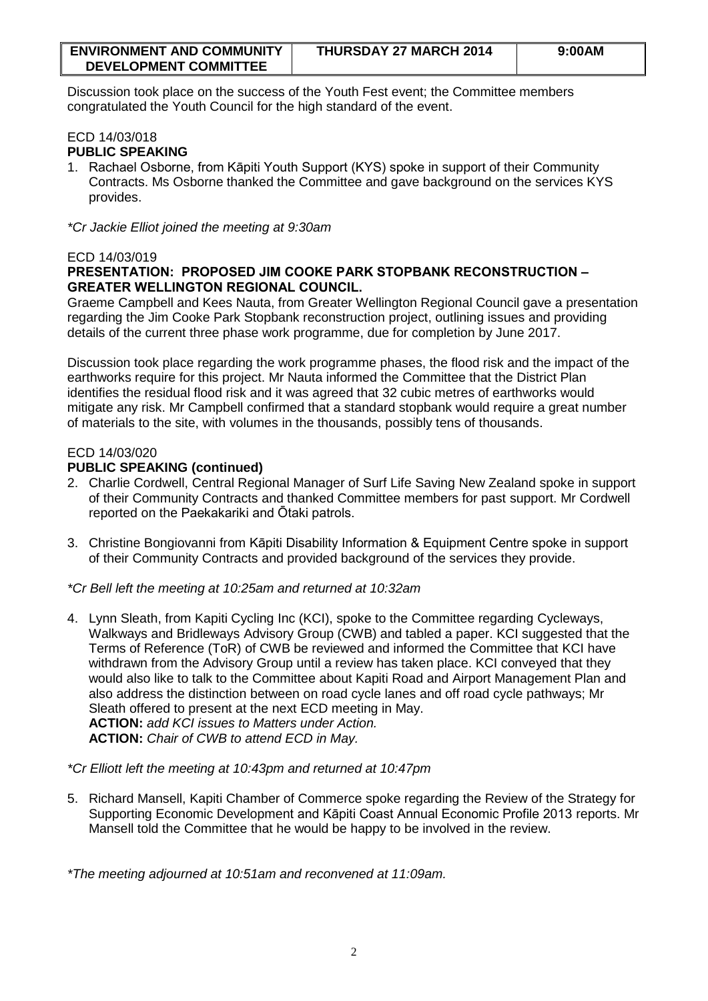| <b>ENVIRONMENT AND COMMUNITY</b> | <b>THURSDAY 27 MARCH 2014</b> | 9:00AM |
|----------------------------------|-------------------------------|--------|
| <b>DEVELOPMENT COMMITTEE</b>     |                               |        |

Discussion took place on the success of the Youth Fest event; the Committee members congratulated the Youth Council for the high standard of the event.

### ECD 14/03/018 **PUBLIC SPEAKING**

1. Rachael Osborne, from Kāpiti Youth Support (KYS) spoke in support of their Community Contracts. Ms Osborne thanked the Committee and gave background on the services KYS provides.

*\*Cr Jackie Elliot joined the meeting at 9:30am*

# ECD 14/03/019

# **PRESENTATION: PROPOSED JIM COOKE PARK STOPBANK RECONSTRUCTION – GREATER WELLINGTON REGIONAL COUNCIL.**

Graeme Campbell and Kees Nauta, from Greater Wellington Regional Council gave a presentation regarding the Jim Cooke Park Stopbank reconstruction project, outlining issues and providing details of the current three phase work programme, due for completion by June 2017.

Discussion took place regarding the work programme phases, the flood risk and the impact of the earthworks require for this project. Mr Nauta informed the Committee that the District Plan identifies the residual flood risk and it was agreed that 32 cubic metres of earthworks would mitigate any risk. Mr Campbell confirmed that a standard stopbank would require a great number of materials to the site, with volumes in the thousands, possibly tens of thousands.

# ECD 14/03/020

# **PUBLIC SPEAKING (continued)**

- 2. Charlie Cordwell, Central Regional Manager of Surf Life Saving New Zealand spoke in support of their Community Contracts and thanked Committee members for past support. Mr Cordwell reported on the Paekakariki and Ōtaki patrols.
- 3. Christine Bongiovanni from Kāpiti Disability Information & Equipment Centre spoke in support of their Community Contracts and provided background of the services they provide.

*\*Cr Bell left the meeting at 10:25am and returned at 10:32am*

4. Lynn Sleath, from Kapiti Cycling Inc (KCI), spoke to the Committee regarding Cycleways, Walkways and Bridleways Advisory Group (CWB) and tabled a paper. KCI suggested that the Terms of Reference (ToR) of CWB be reviewed and informed the Committee that KCI have withdrawn from the Advisory Group until a review has taken place. KCI conveyed that they would also like to talk to the Committee about Kapiti Road and Airport Management Plan and also address the distinction between on road cycle lanes and off road cycle pathways; Mr Sleath offered to present at the next ECD meeting in May. **ACTION:** *add KCI issues to Matters under Action.* **ACTION:** *Chair of CWB to attend ECD in May.*

*\*Cr Elliott left the meeting at 10:43pm and returned at 10:47pm*

5. Richard Mansell, Kapiti Chamber of Commerce spoke regarding the Review of the Strategy for Supporting Economic Development and Kāpiti Coast Annual Economic Profile 2013 reports. Mr Mansell told the Committee that he would be happy to be involved in the review.

*\*The meeting adjourned at 10:51am and reconvened at 11:09am.*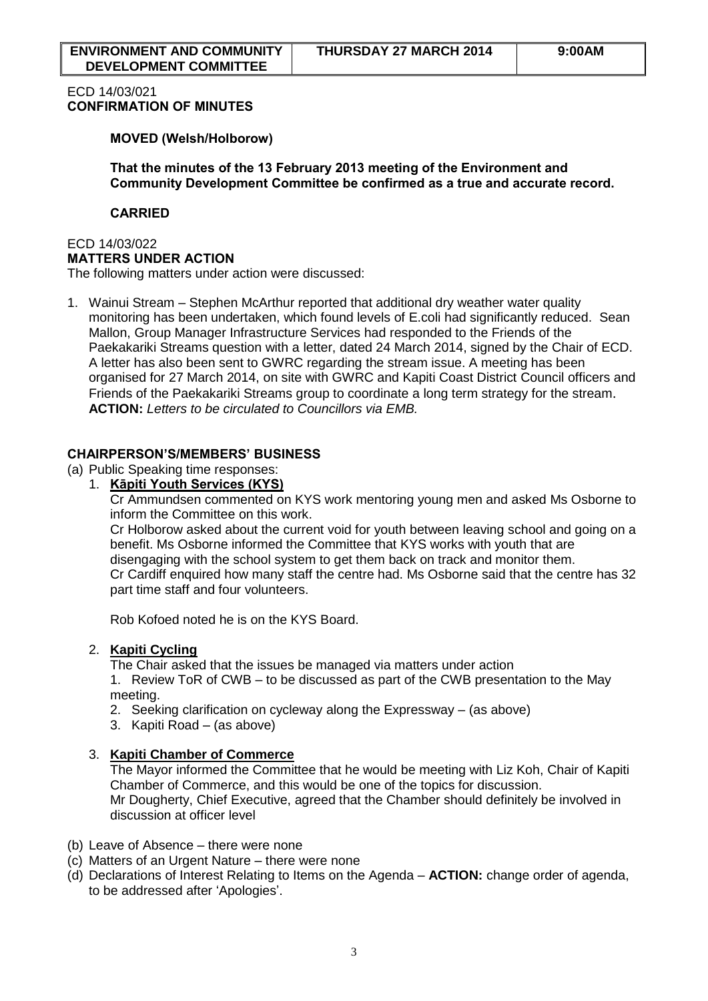## ECD 14/03/021 **CONFIRMATION OF MINUTES**

### **MOVED (Welsh/Holborow)**

**That the minutes of the 13 February 2013 meeting of the Environment and Community Development Committee be confirmed as a true and accurate record.** 

### **CARRIED**

#### ECD 14/03/022 **MATTERS UNDER ACTION**

The following matters under action were discussed:

1. Wainui Stream – Stephen McArthur reported that additional dry weather water quality monitoring has been undertaken, which found levels of E.coli had significantly reduced. Sean Mallon, Group Manager Infrastructure Services had responded to the Friends of the Paekakariki Streams question with a letter, dated 24 March 2014, signed by the Chair of ECD. A letter has also been sent to GWRC regarding the stream issue. A meeting has been organised for 27 March 2014, on site with GWRC and Kapiti Coast District Council officers and Friends of the Paekakariki Streams group to coordinate a long term strategy for the stream. **ACTION:** *Letters to be circulated to Councillors via EMB.*

## **CHAIRPERSON'S/MEMBERS' BUSINESS**

- (a) Public Speaking time responses:
	- 1. **Kāpiti Youth Services (KYS)**

Cr Ammundsen commented on KYS work mentoring young men and asked Ms Osborne to inform the Committee on this work.

Cr Holborow asked about the current void for youth between leaving school and going on a benefit. Ms Osborne informed the Committee that KYS works with youth that are disengaging with the school system to get them back on track and monitor them. Cr Cardiff enquired how many staff the centre had. Ms Osborne said that the centre has 32 part time staff and four volunteers.

Rob Kofoed noted he is on the KYS Board.

## 2. **Kapiti Cycling**

The Chair asked that the issues be managed via matters under action

1. Review ToR of CWB – to be discussed as part of the CWB presentation to the May meeting.

- 2. Seeking clarification on cycleway along the Expressway (as above)
- 3. Kapiti Road (as above)

## 3. **Kapiti Chamber of Commerce**

The Mayor informed the Committee that he would be meeting with Liz Koh, Chair of Kapiti Chamber of Commerce, and this would be one of the topics for discussion. Mr Dougherty, Chief Executive, agreed that the Chamber should definitely be involved in discussion at officer level

- (b) Leave of Absence there were none
- (c) Matters of an Urgent Nature there were none
- (d) Declarations of Interest Relating to Items on the Agenda **ACTION:** change order of agenda, to be addressed after 'Apologies'.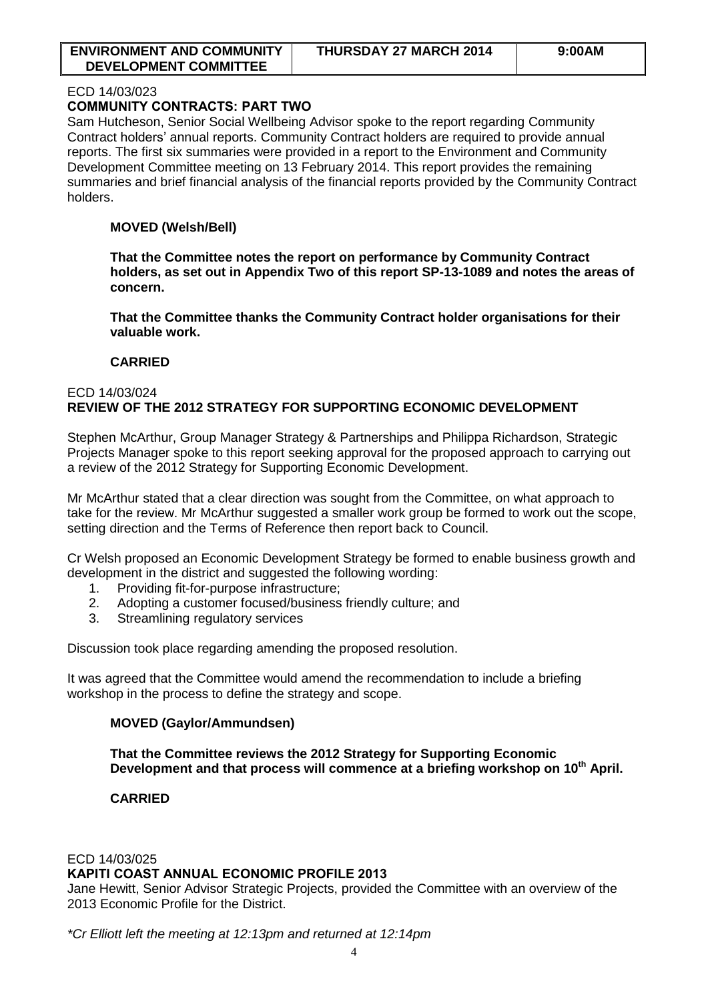| <b>ENVIRONMENT AND COMMUNITY</b> | <b>THURSDAY 27 MARCH 2014</b> | 9:00AM |
|----------------------------------|-------------------------------|--------|
| <b>DEVELOPMENT COMMITTEE</b>     |                               |        |

#### ECD 14/03/023

## **[COMMUNITY CONTRACTS:](http://www.kapiticoast.govt.nz/Documents/Meetings/Current/Environmental%20and%20Community%20Development%20Committee%20(ECD)/2014/1316%2003%2027%20March%202014/1316-03-ECD-OR-Community-Contracts-Part-Two-SP-14-1127.pdf) PART TWO**

Sam Hutcheson, Senior Social Wellbeing Advisor spoke to the report regarding Community Contract holders' annual reports. Community Contract holders are required to provide annual reports. The first six summaries were provided in a report to the Environment and Community Development Committee meeting on 13 February 2014. This report provides the remaining summaries and brief financial analysis of the financial reports provided by the Community Contract holders.

## **MOVED (Welsh/Bell)**

**That the Committee notes the report on performance by Community Contract holders, as set out in Appendix Two of this report SP-13-1089 and notes the areas of concern.** 

**That the Committee thanks the Community Contract holder organisations for their valuable work.** 

## **CARRIED**

### ECD 14/03/024 **REVIEW OF THE 2012 STRATEGY FOR SUPPORTING ECONOMIC DEVELOPMENT**

Stephen McArthur, Group Manager Strategy & Partnerships and Philippa Richardson, Strategic Projects Manager spoke to this report seeking approval for the proposed approach to carrying out a review of the 2012 Strategy for Supporting Economic Development.

Mr McArthur stated that a clear direction was sought from the Committee, on what approach to take for the review. Mr McArthur suggested a smaller work group be formed to work out the scope, setting direction and the Terms of Reference then report back to Council.

Cr Welsh proposed an Economic Development Strategy be formed to enable business growth and development in the district and suggested the following wording:

- 1. Providing fit-for-purpose infrastructure;
- 2. Adopting a customer focused/business friendly culture; and
- 3. Streamlining regulatory services

Discussion took place regarding amending the proposed resolution.

It was agreed that the Committee would amend the recommendation to include a briefing workshop in the process to define the strategy and scope.

## **MOVED (Gaylor/Ammundsen)**

**That the Committee reviews the 2012 Strategy for Supporting Economic Development and that process will commence at a briefing workshop on 10th April.** 

## **CARRIED**

## ECD 14/03/025

## **KAPITI COAST ANNUAL ECONOMIC PROFILE 2013**

Jane Hewitt, Senior Advisor Strategic Projects, provided the Committee with an overview of the 2013 Economic Profile for the District.

*\*Cr Elliott left the meeting at 12:13pm and returned at 12:14pm*